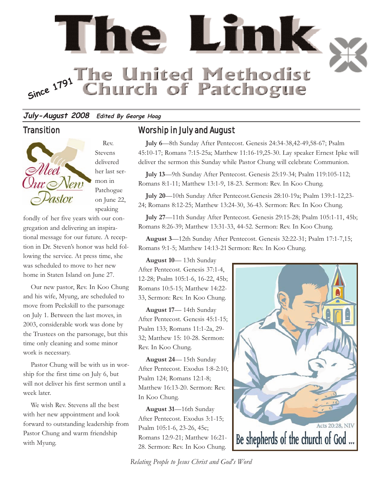

#### **July-August 2008 Edited By George Hoag**

#### **Transition**



Rev. Stevens delivered her last sermon in Patchogue on June 22, speaking

fondly of her five years with our congregation and delivering an inspirational message for our future. A reception in Dr. Steven's honor was held following the service. At press time, she was scheduled to move to her new home in Staten Island on June 27.

Our new pastor, Rev. In Koo Chung and his wife, Myung, are scheduled to move from Peekskill to the parsonage on July 1. Between the last moves, in 2003, considerable work was done by the Trustees on the parsonage, but this time only cleaning and some minor work is necessary.

Pastor Chung will be with us in worship for the first time on July 6, but will not deliver his first sermon until a week later.

We wish Rev. Stevens all the best with her new appointment and look forward to outstanding leadership from Pastor Chung and warm friendship with Myung.

# Worship in July and August

**July 6**—8th Sunday After Pentecost. Genesis 24:34-38,42-49,58-67; Psalm 45:10-17; Romans 7:15-25a; Matthew 11:16-19,25-30. Lay speaker Ernest Ipke will deliver the sermon this Sunday while Pastor Chung will celebrate Communion.

**July 13**—9th Sunday After Pentecost. Genesis 25:19-34; Psalm 119:105-112; Romans 8:1-11; Matthew 13:1-9, 18-23. Sermon: Rev. In Koo Chung.

**July 20**—10th Sunday After Pentecost.Genesis 28:10-19a; Psalm 139:1-12,23- 24; Romans 8:12-25; Matthew 13:24-30, 36-43. Sermon: Rev. In Koo Chung.

**July 27**—11th Sunday After Pentecost. Genesis 29:15-28; Psalm 105:1-11, 45b; Romans 8:26-39; Matthew 13:31-33, 44-52. Sermon: Rev. In Koo Chung.

**August 3**—12th Sunday After Pentecost. Genesis 32:22-31; Psalm 17:1-7,15; Romans 9:1-5; Matthew 14:13-21 Sermon: Rev. In Koo Chung.

**August 10**— 13th Sunday After Pentecost. Genesis 37:1-4, 12-28; Psalm 105:1-6, 16-22, 45b; Romans 10:5-15; Matthew 14:22- 33, Sermon: Rev. In Koo Chung.

**August 17**— 14th Sunday After Pentecost. Genesis 45:1-15; Psalm 133; Romans 11:1-2a, 29- 32; Matthew 15: 10-28. Sermon: Rev. In Koo Chung.

**August 24**— 15th Sunday After Pentecost. Exodus 1:8-2:10; Psalm 124; Romans 12:1-8; Matthew 16:13-20. Sermon: Rev. In Koo Chung.

**August 31**—16th Sunday After Pentecost. Exodus 3:1-15; Psalm 105:1-6, 23-26, 45c; Romans 12:9-21; Matthew 16:21- 28. Sermon: Rev. In Koo Chung.



*Relating People to Jesus Christ and God's Word*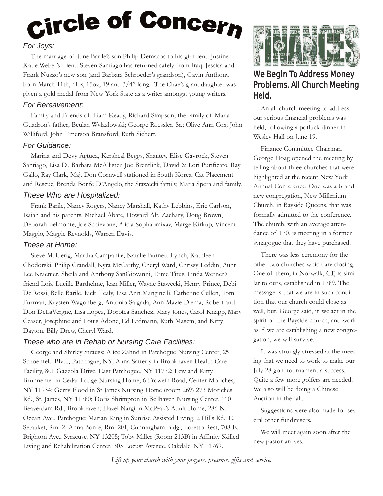# Circle of Concern *For Joys:*

The marriage of June Barile's son Philip Demacos to his girlfriend Justine. Katie Weber's friend Steven Santiago has returned safely from Iraq. Jessica and Frank Nuzzo's new son (and Barbara Schroeder's grandson), Gavin Anthony, born March 11th, 6lbs, 15oz, 19 and 3/4" long. The Chae's granddaughter was given a gold medal from New York State as a writer amongst young writers.

## *For Bereavement:*

Family and Friends of: Liam Keady, Richard Simpson; the family of Maria Guadron's father; Beulah Wylazlowski; George Roessler, Sr.; Olive Ann Cox; John Williford, John Emerson Bransford; Ruth Siebert.

### *For Guidance:*

Marina and Devy Agtuca, Kersheal Beggs, Shantey, Elise Gavrock, Steven Santiago, Lisa D., Barbara McAllister, Joe Brentlink, David & Lori Purificato, Ray Gallo, Ray Clark, Maj. Don Cornwell stationed in South Korea, Cat Placement and Rescue, Brenda Bonfe D'Angelo, the Stawecki family, Maria Spera and family.

### *These Who are Hospitalized:*

Frank Barile, Nancy Rogers, Nancy Marshall, Kathy Lebbins, Eric Carlson, Isaiah and his parents, Michael Abate, Howard Alt, Zachary, Doug Brown, Deborah Belmonte, Joe Schievone, Alicia Sophabmixay, Marge Kirkup, Vincent Maggio, Maggie Reynolds, Warren Davis.

## *These at Home:*

Steve Mulderig, Martha Campanile, Natalie Burnett-Lynch, Kathleen Chodorski, Philip Crandall, Kyra McCarthy, Cheryl Ward, Chrissy Leddin, Aunt Lee Kraemer, Sheila and Anthony SanGiovanni, Ernie Titus, Linda Werner's friend Lois, Lucille Barthelme, Jean Miller, Wayne Stawecki, Henry Prince, Debi DelRossi, Belle Barile, Rick Healy, Lisa Ann Manginelli, Catherine Cullen, Tom Furman, Krysten Wagonberg, Antonio Salgada, Ann Mazie Diema, Robert and Don DeLaVergne, Lisa Lopez, Dorotea Sanchez, Mary Jones, Carol Knapp, Mary Ceaser, Josephine and Louis Adone, Ed Erdmann, Ruth Masem, and Kitty Dayton, Billy Drew, Cheryl Ward.

### *These who are in Rehab or Nursing Care Facilities:*

George and Shirley Strauss; Alice Zahnd in Patchogue Nursing Center, 25 Schoenfeld Blvd., Patchogue, NY; Anna Satterly in Brookhaven Health Care Facility, 801 Gazzola Drive, East Patchogue, NY 11772; Lew and Kitty Brunnemer in Cedar Lodge Nursing Home, 6 Frowein Road, Center Moriches, NY 11934; Gerry Flood in St James Nursing Home (room 269) 273 Moriches Rd., St. James, NY 11780; Doris Shrimpton in Bellhaven Nursing Center, 110 Beaverdam Rd., Brookhaven; Hazel Nargi in McPeak's Adult Home, 286 N. Ocean Ave., Patchogue; Marian King in Sunrise Assisted Living, 2 Hills Rd., E. Setauket, Rm. 2; Anna Bonfe, Rm. 201, Cunningham Bldg., Loretto Rest, 708 E. Brighton Ave., Syracuse, NY 13205; Toby Miller (Room 213B) in Affinity Skilled Living and Rehabilitation Center, 305 Locust Avenue, Oakdale, NY 11769.



# We Begin To Address Money Problems. All Church Meeting Held.

An all church meeting to address our serious financial problems was held, following a potluck dinner in Wesley Hall on June 19.

Finance Committee Chairman George Hoag opened the meeting by telling about three churches that were highlighted at the recent New York Annual Conference. One was a brand new congregation, New Millenium Church, in Bayside Queens, that was formally admitted to the conference. The church, with an average attendance of 170, is meeting in a former synagogue that they have purchased.

There was less ceremony for the other two churches which are closing. One of them, in Norwalk, CT, is similar to ours, established in 1789. The message is that we are in such condition that our church could close as well, but, George said, if we act in the spirit of the Bayside church, and work as if we are establishing a new congregation, we will survive.

It was strongly stressed at the meeting that we need to work to make our July 28 golf tournament a success. Quite a few more golfers are needed. We also will be doing a Chinese Auction in the fall.

Suggestions were also made for several other fundraisers.

We will meet again soon after the new pastor arrives.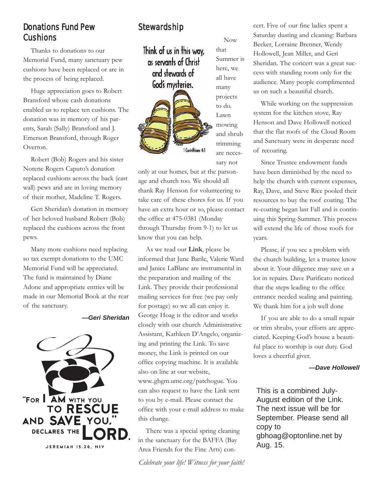# Donations Fund Pew Cushions

Thanks to donations to our Memorial Fund, many sanctuary pew cushions have been replaced or are in the process of being replaced.

Huge appreciation goes to Robert Bransford whose cash donations enabled us to replace ten cushions. The donation was in memory of his parents, Sarah (Sally) Bransford and J. Emerson Bransford, through Roger Overton.

Robert (Bob) Rogers and his sister Norene Rogers Caputo's donation replaced cushions across the back (east wall) pews and are in loving memory of their mother, Madeline T. Rogers.

Geri Sheridan's donation in memory of her beloved husband Robert (Bob) replaced the cushions across the front pews.

Many more cushions need replacing so tax exempt donations to the UMC Memorial Fund will be appreciated. The fund is maintained by Diane Adone and appropriate entries will be made in our Memorial Book at the rear of the sanctuary.

#### *—Geri Sheridan*



# Stewardship

Think of us in this way, as servants of Christ and stewards of God's mysteries.



Now that Summer is here, we all have many projects to do. Lawn mowing and shrub trimming are necessary not

only at our homes, but at the parsonage and church too. We should all thank Ray Henson for volunteering to take care of these chores for us. If you have an extra hour or so, please contact the office at 475-0381 (Monday through Thursday from 9-1) to let us know that you can help.

As we read our **Link**, please be informed that June Barile, Valerie Ward and Janice LaBlanc are instrumental in the preparation and mailing of the Link. They provide their professional mailing services for free (we pay only for postage) so we all can enjoy it. George Hoag is the editor and works closely with our church Administrative Assistant, Kathleen D'Angelo, organizing and printing the Link. To save money, the Link is printed on our office copying machine. It is available also on line at our website, www..gbgm.umc.org/patchogue. You can also request to have the Link sent to you by e-mail. Please contact the office with your e-mail address to make this change.

There was a special spring cleaning in the sanctuary for the BAFFA (Bay Area Friends for the Fine Arts) con-

*Celebrate your life! Witness for your faith!*

cert. Five of our fine ladies spent a Saturday dusting and cleaning: Barbara Becker, Lorraine Brenner, Wendy Hollowell, Jean Miller, and Geri Sheridan. The concert was a great success with standing room only for the audience. Many people complimented us on such a beautiful church.

While working on the suppression system for the kitchen stove, Ray Henson and Dave Hollowell noticed that the flat roofs of the Cloud Room and Sanctuary were in desperate need of recoating.

Since Trustee endowment funds have been diminished by the need to help the church with current expenses, Ray, Dave, and Steve Rice pooled their resources to buy the roof coating. The re-coating began last Fall and is continuing this Spring-Summer. This process will extend the life of those roofs for years.

Please, if you see a problem with the church building, let a trustee know about it. Your diligence may save us a lot in repairs. Dave Purificato noticed that the steps leading to the office entrance needed sealing and painting. We thank him for a job well done

If you are able to do a small repair or trim shrubs, your efforts are appreciated. Keeping God's house a beautiful place to worship is our duty. God loves a cheerful giver.

#### *—Dave Hollowell*

This is a combined July-August edition of the Link. The next issue will be for September. Please send all copy to gbhoag@optonline.net by Aug. 15.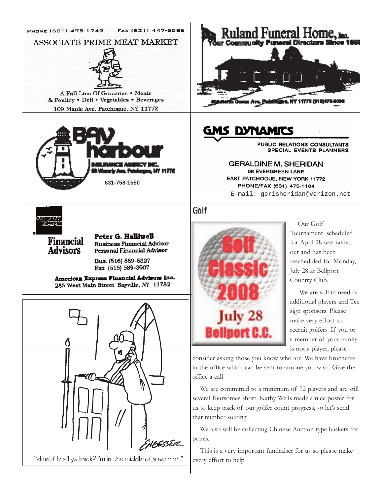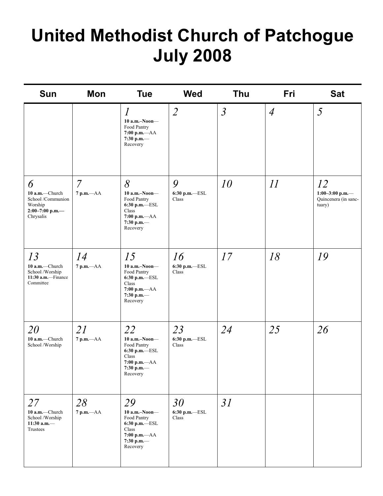# **United Methodist Church of Patchogue July 2008**

| <b>Sun</b>                                                                             | Mon                           | <b>Tue</b>                                                                                                        | <b>Wed</b>                         | <b>Thu</b>     | Fri            | <b>Sat</b>                                              |
|----------------------------------------------------------------------------------------|-------------------------------|-------------------------------------------------------------------------------------------------------------------|------------------------------------|----------------|----------------|---------------------------------------------------------|
|                                                                                        |                               | $\overline{l}$<br>$10$ a.m.-Noon-<br>Food Pantry<br>$7:00$ p.m. $-AA$<br>7:30 p.m. $-$<br>Recovery                | $\overline{2}$                     | $\mathfrak{Z}$ | $\overline{4}$ | 5                                                       |
| 6<br>10 a.m.-Church<br>School/Communion<br>Worship<br>$2:00 - 7:00$ p.m.-<br>Chrysalis | $\overline{7}$<br>7 p.m.-- AA | 8<br>$10$ a.m.-Noon-<br>Food Pantry<br>6:30 p.m.-ESL<br>Class<br>$7:00$ p.m. $-AA$<br>7:30 p.m.-<br>Recovery      | 9<br>6:30 p.m.-ESL<br>Class        | 10             | 11             | 12<br>1:00-3:00 p.m.-<br>Quincenera (in sanc-<br>tuary) |
| 13<br>10 a.m.-Church<br>School /Worship<br>11:30 a.m.-Finance<br>Committee             | 14<br>$7 p.m. -AA$            | 15<br>10 a.m.-Noon-<br>Food Pantry<br>6:30 p.m.-ESL<br>Class<br>$7:00$ p.m. $-AA$<br>7:30 p.m.-<br>Recovery       | 16<br>6:30 p.m.-ESL<br>Class       | 17             | 18             | 19                                                      |
| 20<br>10 a.m.-Church<br>School/Worship                                                 | 21<br>$7 p.m. -AA$            | 22<br>$10$ a.m.-Noon-<br>Food Pantry<br>6:30 p.m.-ESL<br>Class<br>7:00 p.m.-- AA<br>7:30 p.m. $-$<br>Recovery     | 23<br>6:30 p.m.—ESL<br>Class       | 24             | 25             | 26                                                      |
| 27<br>10 a.m.-Church<br>School /Worship<br>11:30 a.m. $-$<br>Trustees                  | 28<br>$7$ p.m. $-AA$          | 29<br>$10$ a.m.-Noon-<br>Food Pantry<br>$6:30$ p.m. $-$ ESL<br>Class<br>$7:00 p.m. -AA$<br>7:30 p.m.—<br>Recovery | 30<br>$6:30$ p.m.- $ ESL$<br>Class | 31             |                |                                                         |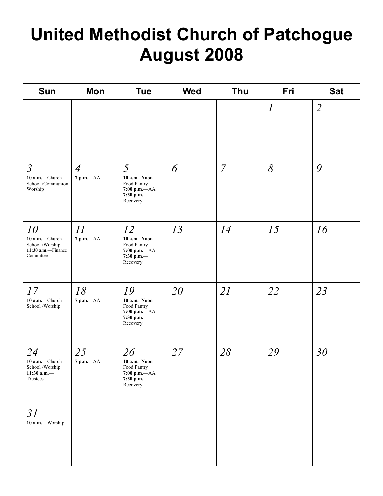# **United Methodist Church of Patchogue August 2008**

| Sun                                                                        | Mon                  | <b>Tue</b>                                                                          | <b>Wed</b> | Thu            | Fri                 | <b>Sat</b>          |
|----------------------------------------------------------------------------|----------------------|-------------------------------------------------------------------------------------|------------|----------------|---------------------|---------------------|
| $\mathfrak{Z}$                                                             | $\overline{4}$       | 5                                                                                   | 6          | $\overline{7}$ | $\overline{l}$<br>8 | $\overline{2}$<br>9 |
| 10 a.m.-Church<br>School /Communion<br>Worship                             | $7$ p.m.— $AA$       | $10$ a.m.-Noon-<br>Food Pantry<br>$7:00$ p.m.— $AA$<br>7:30 p.m.-<br>Recovery       |            |                |                     |                     |
| 10<br>10 a.m.-Church<br>School /Worship<br>11:30 a.m.-Finance<br>Committee | 11<br>$7$ p.m. $-AA$ | 12<br>$10$ a.m.-Noon-<br>Food Pantry<br>$7:00 p.m. -AA$<br>7:30 p.m.-<br>Recovery   | 13         | 14             | 15                  | 16                  |
| 17<br>10 a.m.-Church<br>School /Worship                                    | 18<br>$7 p.m. -AA$   | 19<br>$10$ a.m.-Noon-<br>Food Pantry<br>7:00 p.m.-- AA<br>7:30 p.m.—<br>Recovery    | 20         | 21             | 22                  | 23                  |
| 24<br>10 a.m.-Church<br>School /Worship<br>11:30 a.m. $-$<br>Trustees      | 25<br>7 p.m.-- AA    | 26<br>$10$ a.m.-Noon-<br>Food Pantry<br>$7:00$ p.m. $-AA$<br>7:30 p.m.-<br>Recovery | 27         | 28             | 29                  | 30                  |
| 31<br>10 a.m.-Worship                                                      |                      |                                                                                     |            |                |                     |                     |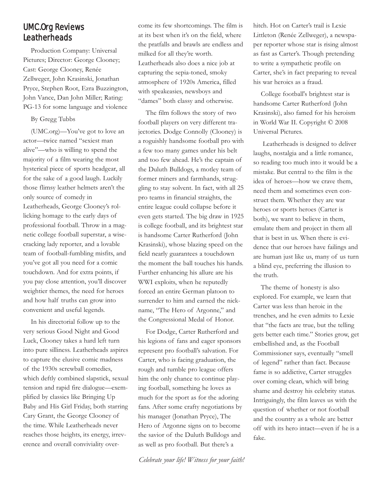# UMC.Org Reviews **Leatherheads**

Production Company: Universal Pictures; Director: George Clooney; Cast: George Clooney, Renée Zellweger, John Krasinski, Jonathan Pryce, Stephen Root, Ezra Buzzington, John Vance, Dan John Miller; Rating: PG-13 for some language and violence

By Gregg Tubbs

(UMC.org)—You've got to love an actor—twice named "sexiest man alive"—who is willing to spend the majority of a film wearing the most hysterical piece of sports headgear, all for the sake of a good laugh. Luckily those flimsy leather helmets aren't the only source of comedy in Leatherheads, George Clooney's rollicking homage to the early days of professional football. Throw in a magnetic college football superstar, a wisecracking lady reporter, and a lovable team of football-fumbling misfits, and you've got all you need for a comic touchdown. And for extra points, if you pay close attention, you'll discover weightier themes, the need for heroes and how half truths can grow into convenient and useful legends.

In his directorial follow up to the very serious Good Night and Good Luck, Clooney takes a hard left turn into pure silliness. Leatherheads aspires to capture the elusive comic madness of the 1930s screwball comedies, which deftly combined slapstick, sexual tension and rapid fire dialogue—exemplified by classics like Bringing Up Baby and His Girl Friday, both starring Cary Grant, the George Clooney of the time. While Leatherheads never reaches those heights, its energy, irreverence and overall conviviality overcome its few shortcomings. The film is at its best when it's on the field, where the pratfalls and brawls are endless and milked for all they're worth. Leatherheads also does a nice job at capturing the sepia-toned, smoky atmosphere of 1920s America, filled with speakeasies, newsboys and "dames" both classy and otherwise.

The film follows the story of two football players on very different trajectories. Dodge Connolly (Clooney) is a roguishly handsome football pro with a few too many games under his belt and too few ahead. He's the captain of the Duluth Bulldogs, a motley team of former miners and farmhands, struggling to stay solvent. In fact, with all 25 pro teams in financial straights, the entire league could collapse before it even gets started. The big draw in 1925 is college football, and its brightest star is handsome Carter Rutherford (John Krasinski), whose blazing speed on the field nearly guarantees a touchdown the moment the ball touches his hands. Further enhancing his allure are his WWI exploits, when he reputedly forced an entire German platoon to surrender to him and earned the nickname, "The Hero of Argonne," and the Congressional Medal of Honor.

For Dodge, Carter Rutherford and his legions of fans and eager sponsors represent pro football's salvation. For Carter, who is facing graduation, the rough and tumble pro league offers him the only chance to continue playing football, something he loves as much for the sport as for the adoring fans. After some crafty negotiations by his manager (Jonathan Pryce), The Hero of Argonne signs on to become the savior of the Duluth Bulldogs and as well as pro football. But there's a

*Celebrate your life! Witness for your faith!*

hitch. Hot on Carter's trail is Lexie Littleton (Renée Zellweger), a newspaper reporter whose star is rising almost as fast as Carter's. Though pretending to write a sympathetic profile on Carter, she's in fact preparing to reveal his war heroics as a fraud.

College football's brightest star is handsome Carter Rutherford (John Krasinski), also famed for his heroism in World War II. Copyright © 2008 Universal Pictures.

Leatherheads is designed to deliver laughs, nostalgia and a little romance, so reading too much into it would be a mistake. But central to the film is the idea of heroes—how we crave them, need them and sometimes even construct them. Whether they are war heroes or sports heroes (Carter is both), we want to believe in them, emulate them and project in them all that is best in us. When there is evidence that our heroes have failings and are human just like us, many of us turn a blind eye, preferring the illusion to the truth.

The theme of honesty is also explored. For example, we learn that Carter was less than heroic in the trenches, and he even admits to Lexie that "the facts are true, but the telling gets better each time." Stories grow, get embellished and, as the Football Commissioner says, eventually "smell of legend" rather than fact. Because fame is so addictive, Carter struggles over coming clean, which will bring shame and destroy his celebrity status. Intriguingly, the film leaves us with the question of whether or not football and the country as a whole are better off with its hero intact—even if he is a fake.